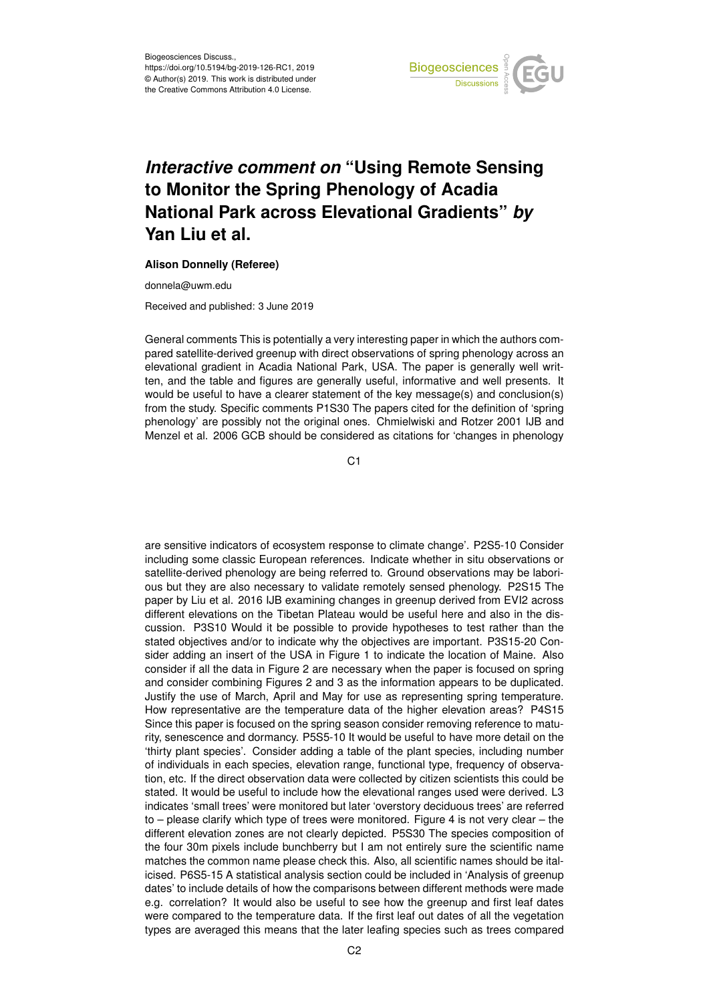

## *Interactive comment on* **"Using Remote Sensing to Monitor the Spring Phenology of Acadia National Park across Elevational Gradients"** *by* **Yan Liu et al.**

## **Alison Donnelly (Referee)**

donnela@uwm.edu

Received and published: 3 June 2019

General comments This is potentially a very interesting paper in which the authors compared satellite-derived greenup with direct observations of spring phenology across an elevational gradient in Acadia National Park, USA. The paper is generally well written, and the table and figures are generally useful, informative and well presents. It would be useful to have a clearer statement of the key message(s) and conclusion(s) from the study. Specific comments P1S30 The papers cited for the definition of 'spring phenology' are possibly not the original ones. Chmielwiski and Rotzer 2001 IJB and Menzel et al. 2006 GCB should be considered as citations for 'changes in phenology

 $C<sub>1</sub>$ 

are sensitive indicators of ecosystem response to climate change'. P2S5-10 Consider including some classic European references. Indicate whether in situ observations or satellite-derived phenology are being referred to. Ground observations may be laborious but they are also necessary to validate remotely sensed phenology. P2S15 The paper by Liu et al. 2016 IJB examining changes in greenup derived from EVI2 across different elevations on the Tibetan Plateau would be useful here and also in the discussion. P3S10 Would it be possible to provide hypotheses to test rather than the stated objectives and/or to indicate why the objectives are important. P3S15-20 Consider adding an insert of the USA in Figure 1 to indicate the location of Maine. Also consider if all the data in Figure 2 are necessary when the paper is focused on spring and consider combining Figures 2 and 3 as the information appears to be duplicated. Justify the use of March, April and May for use as representing spring temperature. How representative are the temperature data of the higher elevation areas? P4S15 Since this paper is focused on the spring season consider removing reference to maturity, senescence and dormancy. P5S5-10 It would be useful to have more detail on the 'thirty plant species'. Consider adding a table of the plant species, including number of individuals in each species, elevation range, functional type, frequency of observation, etc. If the direct observation data were collected by citizen scientists this could be stated. It would be useful to include how the elevational ranges used were derived. L3 indicates 'small trees' were monitored but later 'overstory deciduous trees' are referred to – please clarify which type of trees were monitored. Figure 4 is not very clear – the different elevation zones are not clearly depicted. P5S30 The species composition of the four 30m pixels include bunchberry but I am not entirely sure the scientific name matches the common name please check this. Also, all scientific names should be italicised. P6S5-15 A statistical analysis section could be included in 'Analysis of greenup dates' to include details of how the comparisons between different methods were made e.g. correlation? It would also be useful to see how the greenup and first leaf dates were compared to the temperature data. If the first leaf out dates of all the vegetation types are averaged this means that the later leafing species such as trees compared